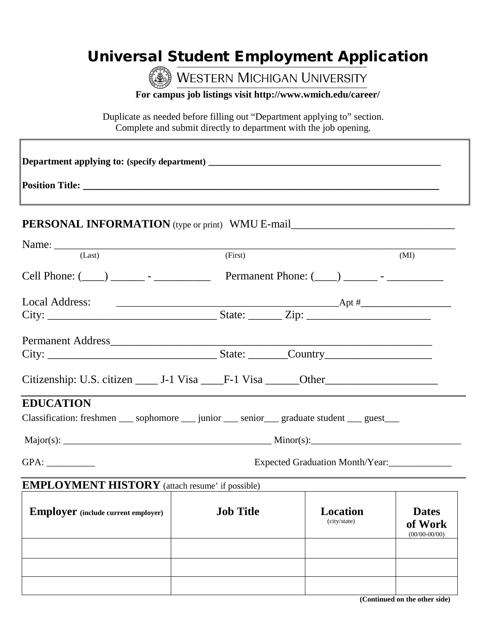## Universal Student Employment Application

WESTERN MICHIGAN UNIVERSITY

**For campus job listings visit http://www.wmich.edu/career/**

Duplicate as needed before filling out "Department applying to" section. Complete and submit directly to department with the job opening.

| PERSONAL INFORMATION (type or print) WMU E-mail__________________________________                           |                                 |                                 |                                            |  |  |
|-------------------------------------------------------------------------------------------------------------|---------------------------------|---------------------------------|--------------------------------------------|--|--|
| Name: $\frac{1}{2}$                                                                                         |                                 |                                 |                                            |  |  |
| (Last)                                                                                                      | (First)                         |                                 | (MI)                                       |  |  |
| Cell Phone: $(\_\_\_\_)$ $\_\_\_\_$ - $\_\_\_\_\_\$ Permanent Phone: $(\_\_\_\_\_\_\_$ - $\_\_\_\_\_\_$     |                                 |                                 |                                            |  |  |
| <b>Local Address:</b>                                                                                       |                                 |                                 |                                            |  |  |
|                                                                                                             |                                 |                                 |                                            |  |  |
| Permanent Address                                                                                           |                                 |                                 |                                            |  |  |
|                                                                                                             |                                 |                                 |                                            |  |  |
| Citizenship: U.S. citizen ______ J-1 Visa _____F-1 Visa ______Other ________________________________        |                                 |                                 |                                            |  |  |
| <b>EDUCATION</b>                                                                                            |                                 |                                 |                                            |  |  |
| Classification: freshmen _____ sophomore ______ junior _____ senior _____ graduate student _____ guest ____ |                                 |                                 |                                            |  |  |
|                                                                                                             |                                 |                                 |                                            |  |  |
| GPA:                                                                                                        | Expected Graduation Month/Year: |                                 |                                            |  |  |
| <b>EMPLOYMENT HISTORY</b> (attach resume' if possible)                                                      |                                 |                                 |                                            |  |  |
| <b>Employer</b> (include current employer)                                                                  | <b>Job Title</b>                | <b>Location</b><br>(city/state) | <b>Dates</b><br>of Work<br>$(00/00-00/00)$ |  |  |
|                                                                                                             |                                 |                                 |                                            |  |  |
|                                                                                                             |                                 |                                 |                                            |  |  |
|                                                                                                             |                                 |                                 |                                            |  |  |

 **(Continued on the other side)**